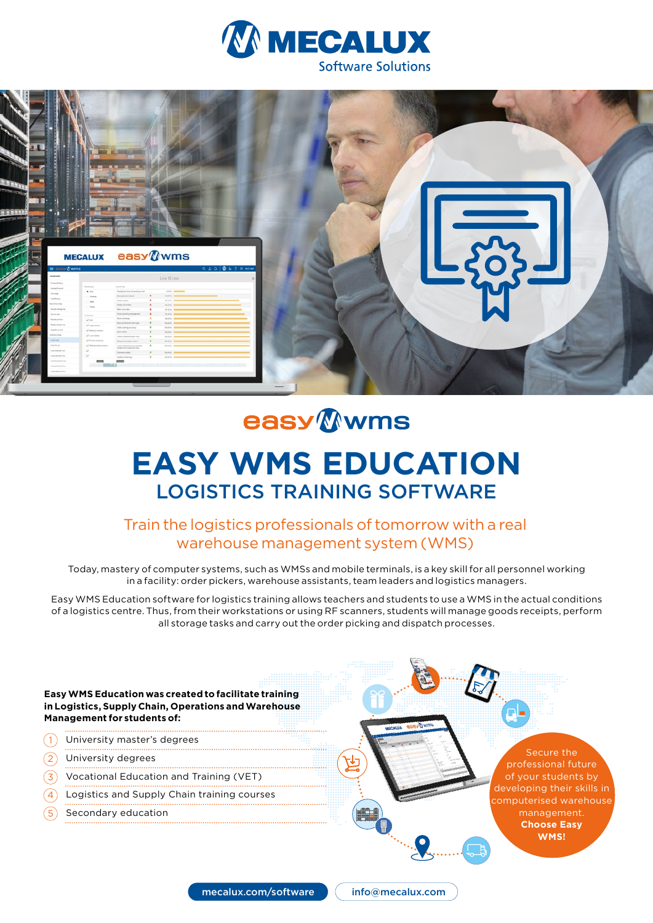



# **easy** Wwms **EASY WMS EDUCATION**  LOGISTICS TRAINING SOFTWARE

## Train the logistics professionals of tomorrow with a real warehouse management system (WMS)

Today, mastery of computer systems, such as WMSs and mobile terminals, is a key skill for all personnel working in a facility: order pickers, warehouse assistants, team leaders and logistics managers.

Easy WMS Education software for logistics training allows teachers and students to use a WMS in the actual conditions of a logistics centre. Thus, from their workstations or using RF scanners, students will manage goods receipts, perform all storage tasks and carry out the order picking and dispatch processes.

**Easy WMS Education was created to facilitate training in Logistics, Supply Chain, Operations and Warehouse Management for students of:**

- University master's degrees  $(1)$
- University degrees  $(2)$
- Vocational Education and Training (VET)  $\mathcal{L}$
- Logistics and Supply Chain training courses 4
- Secondary education 5

Secure the professional future of your students by developing their skills in computerised warehouse management. **Choose Easy WMS!**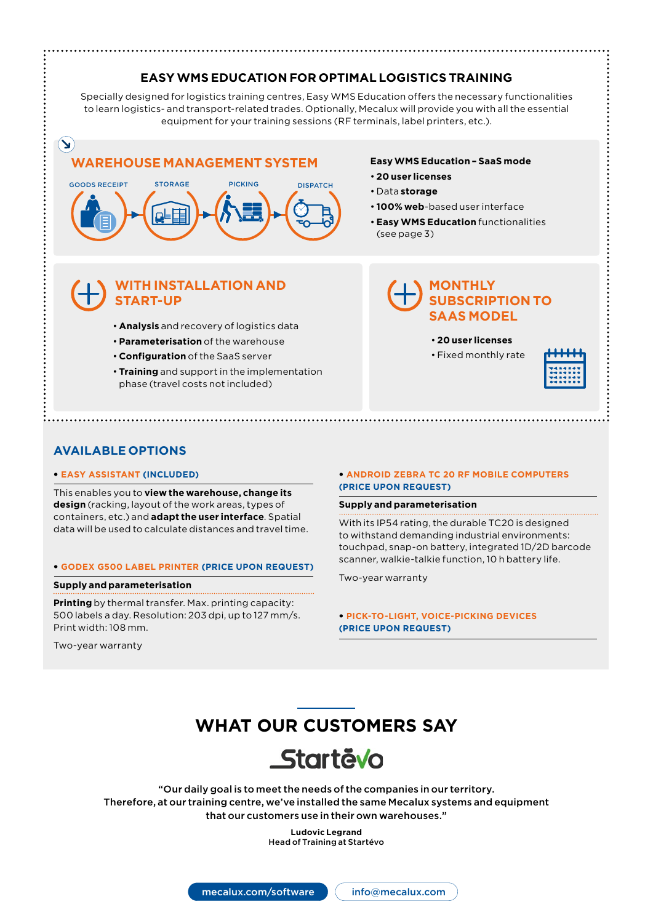## **EASY WMS EDUCATION FOR OPTIMAL LOGISTICS TRAINING**

Specially designed for logistics training centres, Easy WMS Education offers the necessary functionalities to learn logistics- and transport-related trades. Optionally, Mecalux will provide you with all the essential equipment for your training sessions (RF terminals, label printers, etc.).

## **WAREHOUSE MANAGEMENT SYSTEM**



## **WITH INSTALLATION AND START-UP**

- **Analysis** and recovery of logistics data
- **Parameterisation** of the warehouse
- **Configuration** of the SaaS server
- **Training** and support in the implementation phase (travel costs not included)

#### **Easy WMS Education – SaaS mode**

- **20 user licenses**
- Data **storage**
- **100% web**-based user interface
- **Easy WMS Education** functionalities (see page 3)

### **MONTHLY SUBSCRIPTION TO SAAS MODEL**

- **20 user licenses**
- Fixed monthly rate



#### **AVAILABLE OPTIONS**

 $(\blacktriangleleft)$ 

#### • **EASY ASSISTANT (INCLUDED)**

This enables you to **view the warehouse, change its design** (racking, layout of the work areas, types of containers, etc.) and **adapt the user interface**. Spatial data will be used to calculate distances and travel time.

#### • **GODEX G500 LABEL PRINTER (PRICE UPON REQUEST)**

#### **Supply and parameterisation**

**Printing** by thermal transfer. Max. printing capacity: 500 labels a day. Resolution: 203 dpi, up to 127 mm/s. Print width: 108 mm.

Two-year warranty

#### • **ANDROID ZEBRA TC 20 RF MOBILE COMPUTERS (PRICE UPON REQUEST)**

#### **Supply and parameterisation**

With its IP54 rating, the durable TC20 is designed to withstand demanding industrial environments: touchpad, snap-on battery, integrated 1D/2D barcode scanner, walkie-talkie function, 10 h battery life.

Two-year warranty

• **PICK-TO-LIGHT, VOICE-PICKING DEVICES (PRICE UPON REQUEST)**

## **WHAT OUR CUSTOMERS SAY**



"Our daily goal is to meet the needs of the companies in our territory. Therefore, at our training centre, we've installed the same Mecalux systems and equipment that our customers use in their own warehouses."

> **Ludovic Legrand**  Head of Training at Startévo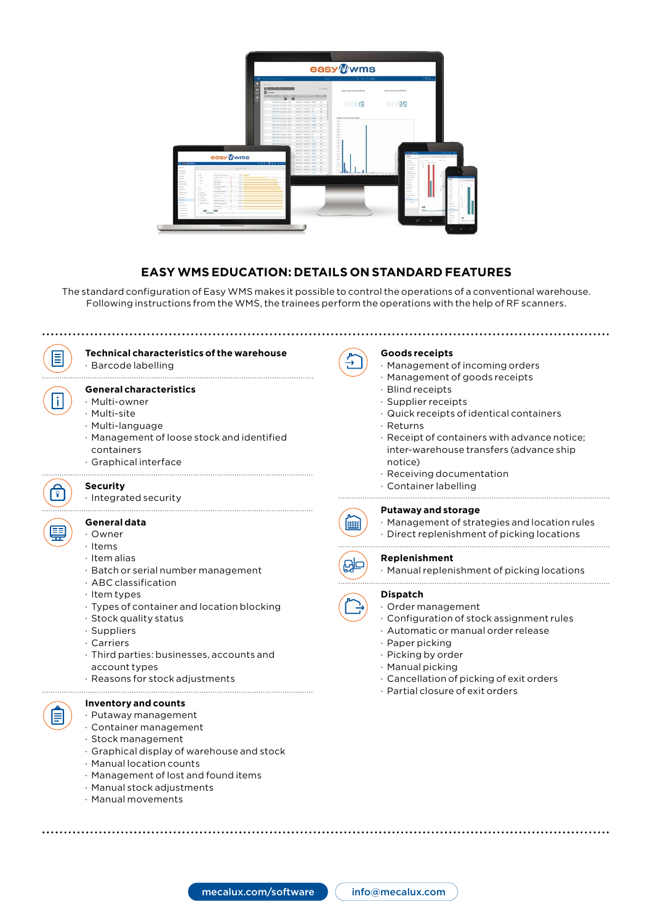

### **EASY WMS EDUCATION: DETAILS ON STANDARD FEATURES**

The standard configuration of Easy WMS makes it possible to control the operations of a conventional warehouse. Following instructions from the WMS, the trainees perform the operations with the help of RF scanners.



· Management of lost and found items

mecalux.com/software

- · Manual stock adjustments
- · Manual movements

info@mecalux.com